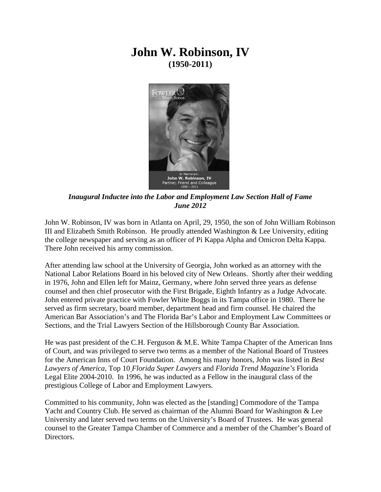## **John W. Robinson, IV (1950-2011)**



*Inaugural Inductee into the Labor and Employment Law Section Hall of Fame June 2012*

John W. Robinson, IV was born in Atlanta on April, 29, 1950, the son of John William Robinson III and Elizabeth Smith Robinson. He proudly attended Washington & Lee University, editing the college newspaper and serving as an officer of Pi Kappa Alpha and Omicron Delta Kappa. There John received his army commission.

After attending law school at the University of Georgia, John worked as an attorney with the National Labor Relations Board in his beloved city of New Orleans. Shortly after their wedding in 1976, John and Ellen left for Mainz, Germany, where John served three years as defense counsel and then chief prosecutor with the First Brigade, Eighth Infantry as a Judge Advocate. John entered private practice with Fowler White Boggs in its Tampa office in 1980. There he served as firm secretary, board member, department head and firm counsel. He chaired the American Bar Association's and The Florida Bar's Labor and Employment Law Committees or Sections, and the Trial Lawyers Section of the Hillsborough County Bar Association.

He was past president of the C.H. Ferguson & M.E. White Tampa Chapter of the American Inns of Court, and was privileged to serve two terms as a member of the National Board of Trustees for the American Inns of Court Foundation. Among his many honors, John was listed in *Best Lawyers of America*, Top 10 *Florida Super Lawyers* and *Florida Trend Magazine's* Florida Legal Elite 2004-2010. In 1996, he was inducted as a Fellow in the inaugural class of the prestigious College of Labor and Employment Lawyers.

Committed to his community, John was elected as the [standing] Commodore of the Tampa Yacht and Country Club. He served as chairman of the Alumni Board for Washington & Lee University and later served two terms on the University's Board of Trustees. He was general counsel to the Greater Tampa Chamber of Commerce and a member of the Chamber's Board of Directors.